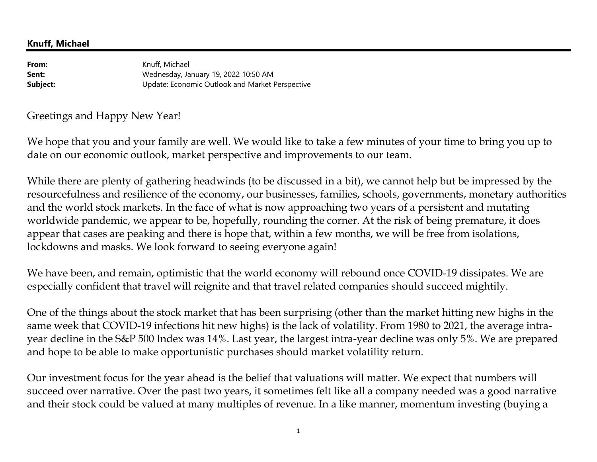**From:** Knuff, Michael **Sent:** Wednesday, January 19, 2022 10:50 AM Update: Economic Outlook and Market Perspective**Subject:**

Greetings and Happy New Year!

We hope that you and your family are well. We would like to take a few minutes of your time to bring you up to date on our economic outlook, market perspective and improvements to our team.

While there are plenty of gathering headwinds (to be discussed in a bit), we cannot help but be impressed by the resourcefulness and resilience of the economy, our businesses, families, schools, governments, monetary authorities and the world stock markets. In the face of what is now approaching two years of a persistent and mutating worldwide pandemic, we appear to be, hopefully, rounding the corner. At the risk of being premature, it doesappear that cases are peaking and there is hope that, within a few months, we will be free from isolations, lockdowns and masks. We look forward to seeing everyone again!

We have been, and remain, optimistic that the world economy will rebound once COVID-19 dissipates. We are especially confident that travel will reignite and that travel related companies should succeed mightily.

One of the things about the stock market that has been surprising (other than the market hitting new highs in the same week that COVID-19 infections hit new highs) is the lack of volatility. From 1980 to 2021, the average intrayear decline in the S&P 500 Index was 14%. Last year, the largest intra-year decline was only 5%. We are prepared and hope to be able to make opportunistic purchases should market volatility return.

Our investment focus for the year ahead is the belief that valuations will matter. We expect that numbers will succeed over narrative. Over the past two years, it sometimes felt like all a company needed was a good narrative and their stock could be valued at many multiples of revenue. In a like manner, momentum investing (buying a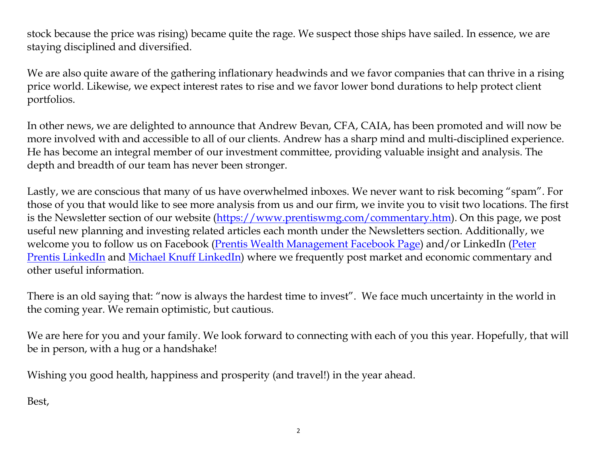stock because the price was rising) became quite the rage. We suspect those ships have sailed. In essence, we are staying disciplined and diversified.

We are also quite aware of the gathering inflationary headwinds and we favor companies that can thrive in a rising price world. Likewise, we expect interest rates to rise and we favor lower bond durations to help protect client portfolios.

In other news, we are delighted to announce that Andrew Bevan, CFA, CAIA, has been promoted and will now be more involved with and accessible to all of our clients. Andrew has a sharp mind and multi-disciplined experience. He has become an integral member of our investment committee, providing valuable insight and analysis. The depth and breadth of our team has never been stronger.

Lastly, we are conscious that many of us have overwhelmed inboxes. We never want to risk becoming "spam". For those of you that would like to see more analysis from us and our firm, we invite you to visit two locations. The first is the Newsletter section of our website (https://www.prentiswmg.com/commentary.htm). On this page, we post useful new planning and investing related articles each month under the Newsletters section. Additionally, we welcome you to follow us on Facebook (Prentis Wealth Management Facebook Page) and/or LinkedIn (Peter Prentis LinkedIn and Michael Knuff LinkedIn) where we frequently post market and economic commentary and other useful information.

There is an old saying that: "now is always the hardest time to invest". We face much uncertainty in the world in the coming year. We remain optimistic, but cautious.

We are here for you and your family. We look forward to connecting with each of you this year. Hopefully, that will be in person, with a hug or a handshake!

Wishing you good health, happiness and prosperity (and travel!) in the year ahead.

Best,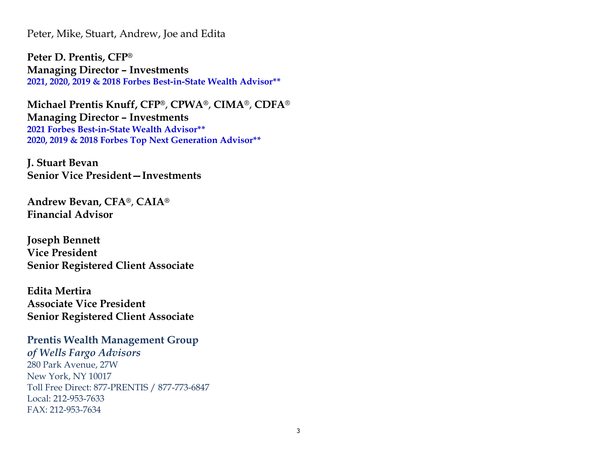Peter, Mike, Stuart, Andrew, Joe and Edita

**Peter D. Prentis, CFP®Managing Director – Investments2021, 2020, 2019 & 2018 Forbes Best-in-State Wealth Advisor\*\*** 

**Michael Prentis Knuff, CFP®**, **CPWA®**, **CIMA**®, **CDFA**®**Managing Director – Investments 2021 Forbes Best-in-State Wealth Advisor\*\* 2020, 2019 & 2018 Forbes Top Next Generation Advisor\*\*** 

**J. Stuart BevanSenior Vice President—Investments**

**Andrew Bevan, CFA®**, **CAIA®Financial Advisor** 

**Joseph Bennett Vice President Senior Registered Client Associate** 

**Edita Mertira Associate Vice President Senior Registered Client Associate** 

**Prentis Wealth Management Group**  *of Wells Fargo Advisors*  280 Park Avenue, 27W New York, NY 10017 Toll Free Direct: 877-PRENTIS / 877-773-6847 Local: 212-953-7633 FAX: 212-953-7634